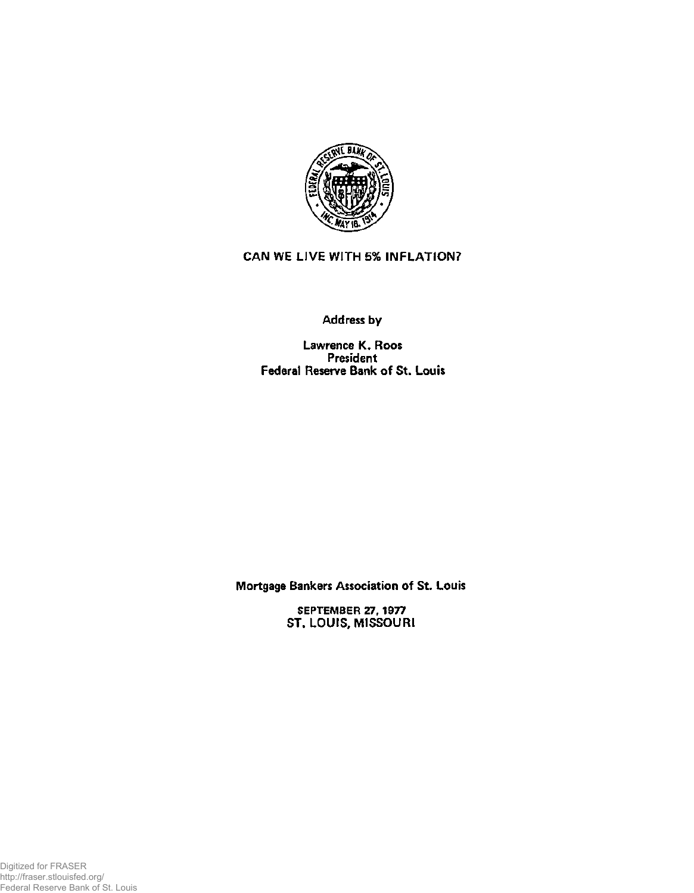

## **CAN WE LIVE WITH 5% INFLATION?**

## **Address by**

**Lawrence K. Roos President Federal Reserve Bank of St. Louis** 

**Mortgage Bankers Association of St. Louis** 

**SEPTEMBER 27,1977 ST. LOUIS, MISSOURI**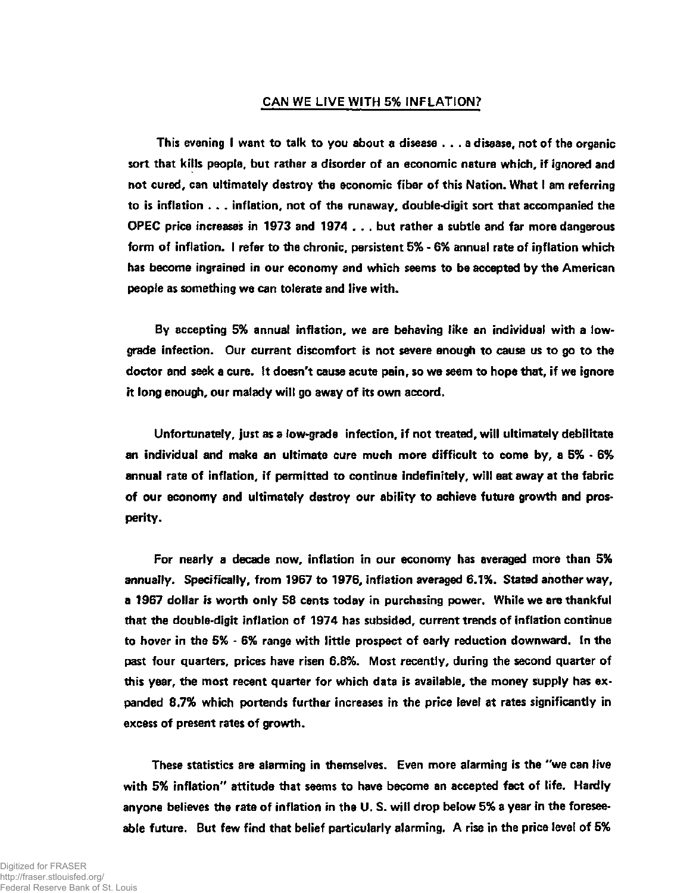## **CAN WE LIVE WITH 5% INFLATION?**

**This evening I want to talk to you about a disease .. . a disease, not of the organic sort that kills people, but rather a disorder of an economic nature which, if ignored and not cured, can ultimately destroy the economic fiber of this Nation. What I am referring to is inflation . . . inflation, not of the runaway, double-digit sort that accompanied the OPEC price increases in 1973 and 1974 . . . but rather a subtle and far more dangerous form of inflation. I refer to the chronic, persistent 5% - 6% annual rate of inflation which has become ingrained in our economy and which seems to be accepted by the American people as something we can tolerate and live with.** 

**By accepting 5% annual inflation, we are behaving like an individual with a lowgrade infection. Our current discomfort is not severe enough to cause us to go to the doctor and seek a cure. It doesn't cause acute pain, so we seem to hope that, if we ignore it long enough, our malady will go away of its own accord.** 

**Unfortunately, just as a low-grade infection, if not treated, will ultimately debilitate an individual and make an ultimate cure much more difficult to come by, a 5% - 6% annual rate of inflation, if permitted to continue indefinitely, will eat away at the fabric of our economy and ultimately destroy our ability to achieve future growth and prosperity.** 

**For nearly a decade now, inflation in our economy has averaged more than 5% annually. Specifically, from 1967 to 1976, inflation averaged 6.1%. Stated another way, a 1967 dollar is worth only 58 cents today in purchasing power. While we are thankful that the double-digit inflation of 1974 has subsided, current trends of inflation continue to hover in the 5% - 6% range with little prospect of early reduction downward. In the past four quarters, prices have risen 6.8%. Most recently, during the second quarter of this year, the most recent quarter for which data is available, the money supply has expanded 8.7% which portends further increases in the price level at rates significantly in excess of present rates of growth.** 

**These statistics are alarming in themselves. Even more alarming is the "we can live with 5% inflation" attitude that seems to have become an accepted fact of life. Hardly anyone believes the rate of inflation in the U. S. will drop below 5% a year in the foreseeable future. But few find that belief particularly alarming. A rise in the price level of 5%**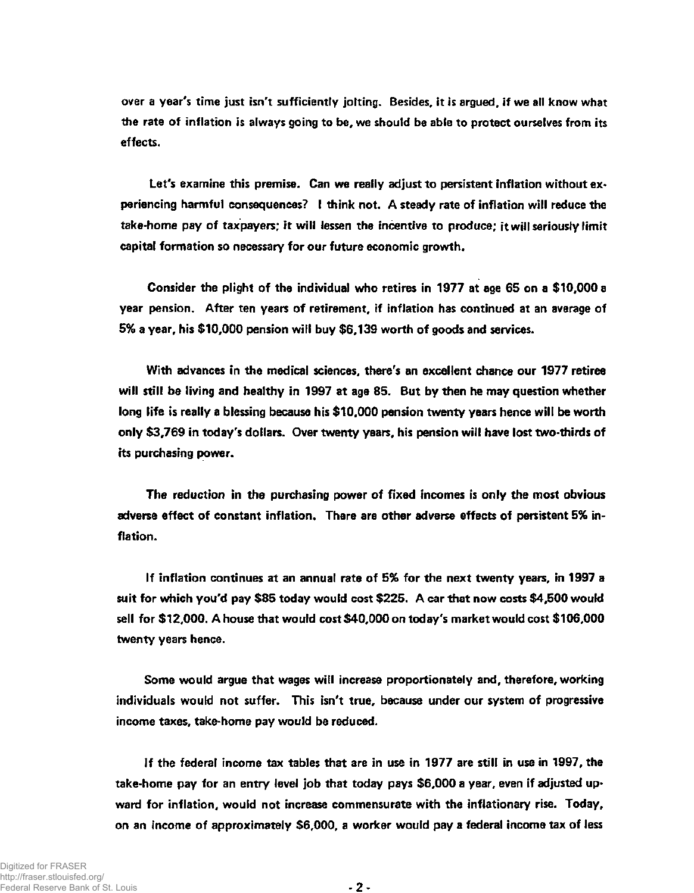**over a year's time just isn't sufficiently jolting. Besides, it is argued, if we all know what the rate of inflation is always going to be, we should be able to protect ourselves from its effects.** 

**Let's examine this premise. Can we really adjust to persistent inflation without experiencing harmful consequences? I think not. A steady rate of inflation will reduce the take-home pay of taxpayers; it will lessen the incentive to produce; it will seriously limit capital formation so necessary for our future economic growth.** 

**Consider the plight of the individual who retires in 1977 at age 65 on a \$10,000 a year pension. After ten years of retirement, if inflation has continued at an average of 5% a year, his \$10,000 pension will buy \$6,139 worth of goods and services.** 

**With advances in the medical sciences, there's an excellent chance our 1977 retiree will still be living and healthy in 1997 at age 85. But by then he may question whether long life is really a blessing because his \$10,000 pension twenty years hence will be worth only \$3,769 in today's dollars. Over twenty years, his pension will have lost two-thirds of its purchasing power.** 

**The reduction in the purchasing power of fixed incomes is only the most obvious adverse effect of constant inflation. There are other adverse effects of persistent 5% inflation.** 

**If inflation continues at an annual rate of 5% for the next twenty years, in 1997 a suit for which you'd pay \$85 today would cost \$225. A car that now costs \$4,500 would sell for \$12,000. A house that would cost \$40,000 on today's market would cost \$106,000 twenty years hence.** 

**Some would argue that wages will increase proportionately and, therefore, working individuals would not suffer. This isn't true, because under our system of progressive income taxes, take-home pay would be reduced.** 

**If the federal income tax tables that are in use in 1977 are still in use in 1997, the take-home pay for an entry level job that today pays \$6,000 a year, even if adjusted upward for inflation, would not increase commensurate with the inflationary rise. Today, on an income of approximately \$6,000, a worker would pay a federal income tax of less**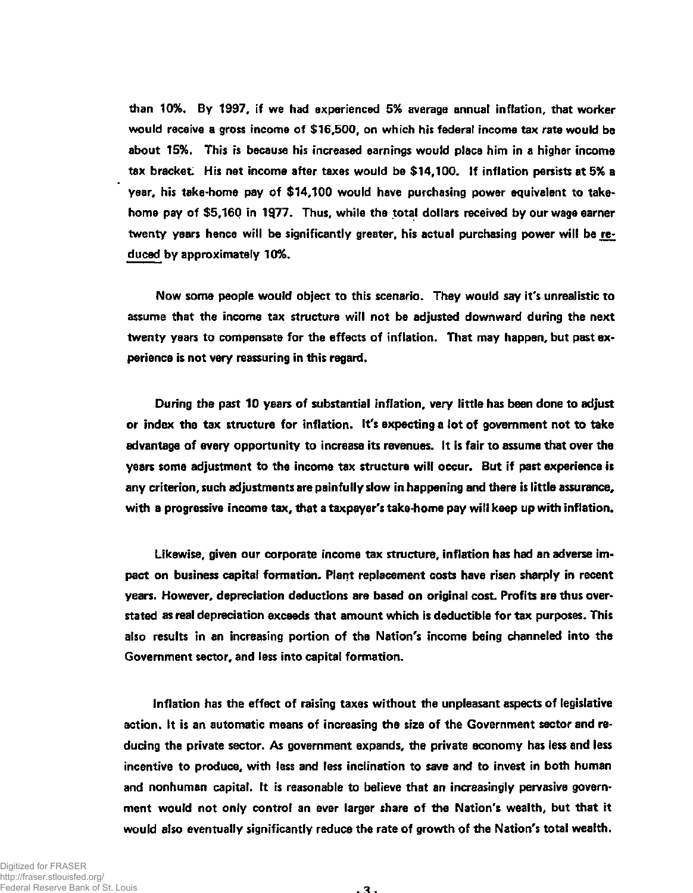**than 10%. By 1997, if we had experienced 5% average annual inflation, that worker would receive a gross income of \$16,500, on which his federal income tax rate would be about 15%. This is because his increased earnings would place him in a higher income tax bracket. His net income after taxes would be \$14,100. If inflation persists at 5% a year, his take-home pay of \$14,100 would have purchasing power equivalent to takehome pay of \$5,160 in 1§77. Thus, while the total dollars received by our wage earner twenty years hence will be significantly greater, his actual purchasing power will be reduced by approximately 10%.** 

**Now some people would object to this scenario. They would say it's unrealistic to assume that the income tax structure will not be adjusted downward during the next twenty years to compensate for the effects of inflation. That may happen, but past experience is not very reassuring in this regard.** 

**During the past 10 years of substantial inflation, very little has been done to adjust or index the tax structure for inflation. It's expecting a lot of government not to take advantage of every opportunity to increase its revenues. It is fair to assume that over the years some adjustment to the income tax structure will occur. But if past experience is any criterion, such adjustments are painfully slow in happening and there is little assurance, with a progressive income tax, that a taxpayer's take-home pay will keep up with inflation.** 

**Likewise, given our corporate income tax structure, inflation has had an adverse impact on business capital formation. Plant replacement costs have risen sharply in recent years. However, depreciation deductions are based on original cost. Profits are thus overstated as real depreciation exceeds that amount which is deductible for tax purposes. This also results in an increasing portion of the Nation's income being channeled into the Government sector, and less into capital formation.** 

**Inflation has the effect of raising taxes without the unpleasant aspects of legislative action. It is an automatic means of increasing the size of the Government sector and reducing the private sector. As government expands, the private economy has less and less incentive to produce, with less and less inclination to save and to invest in both human and nonhuman capital. It is reasonable to believe that an increasingly pervasive government would not only control an ever larger share of the Nation's wealth, but that it would also eventually significantly reduce the rate of growth of the Nation's total wealth.**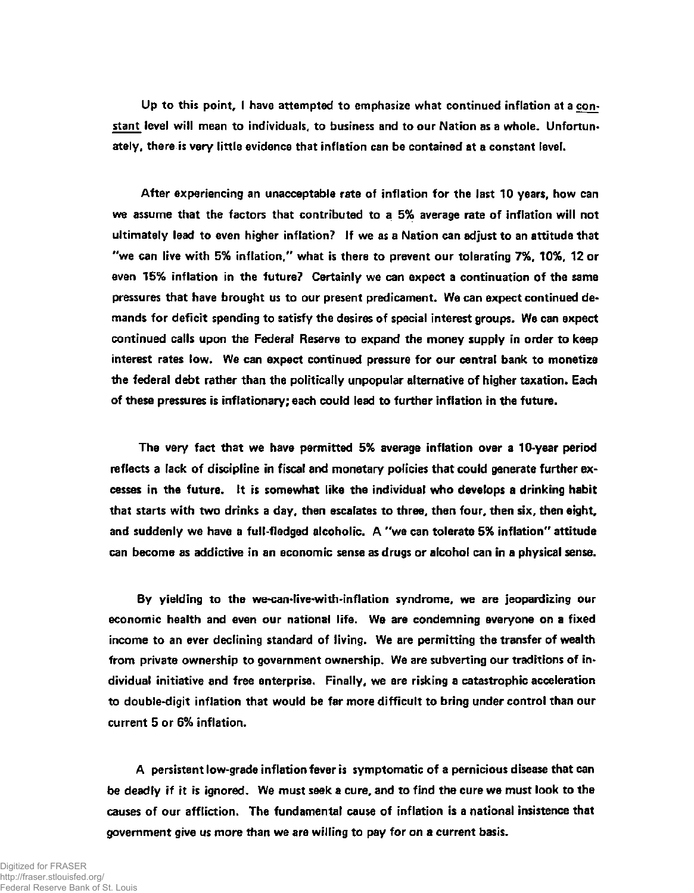**Up to this point, I have attempted to emphasize what continued inflation at a constant level will mean to individuals, to business and to our Nation as a whole. Unfortunately, there is very little evidence that inflation can be contained at a constant level.** 

**After experiencing an unacceptable rate of inflation for the last 10 years, how can we assume that the factors that contributed to a 5% average rate of inflation will not ultimately lead to even higher inflation? If we as a Nation can adjust to an attitude that "we can live with 5% inflation," what is there to prevent our tolerating 7%, 10%, 12 or even 15% inflation in the future? Certainly we can expect a continuation of the same pressures that have brought us to our present predicament. We can expect continued demands for deficit spending to satisfy the desires of special interest groups. We can expect continued calls upon the Federal Reserve to expand the money supply in order to keep interest rates low. We can expect continued pressure for our central bank to monetize the federal debt rather than the politically unpopular alternative of higher taxation. Each of these pressures is inflationary; each could lead to further inflation in the future.** 

**The very fact that we have permitted 5% average inflation over a 10-year period reflects a lack of discipline in fiscal and monetary policies that could generate further excesses in the future. It is somewhat like the individual who develops a drinking habit that starts with two drinks a day, then escalates to three, then four, then six, then eight, and suddenly we have a full-fledged alcoholic. A "we can tolerate 5% inflation" attitude can become as addictive in an economic sense as drugs or alcohol can in a physical sense.** 

**By yielding to the we-can-live-with-inflation syndrome, we are jeopardizing our economic health and even our national life. We are condemning everyone on a fixed income to an ever declining standard of living. We are permitting the transfer of wealth from private ownership to government ownership. We are subverting our traditions of individual initiative and free enterprise. Finally, we are risking a catastrophic acceleration to double-digit inflation that would be far more difficult to bring under control than our current 5 or 6% inflation.** 

**A persistent low-grade inflation fever is symptomatic of a pernicious disease that can be deadly if it is ignored. We must seek a cure, and to find the cure we must look to the causes of our affliction. The fundamental cause of inflation is a national insistence that government give us more than we are willing to pay for on a current basis.**